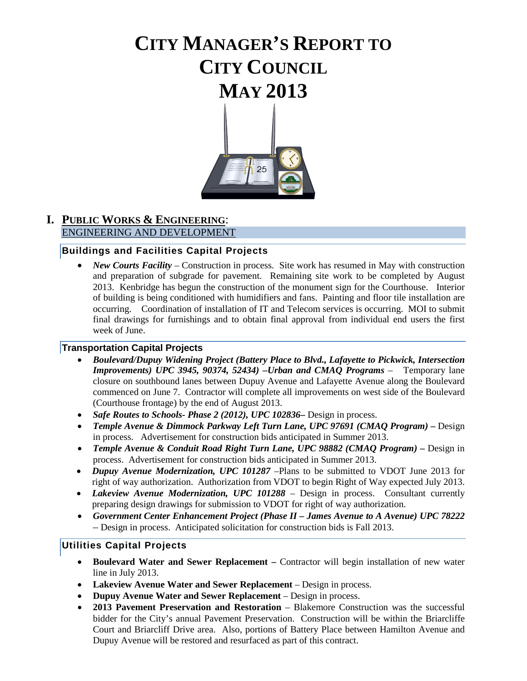# **CITY MANAGER'S REPORT TO CITY COUNCIL MAY 2013**



#### **I. PUBLIC WORKS & ENGINEERING**: ENGINEERING AND DEVELOPMENT

### **Buildings and Facilities Capital Projects**

• *New Courts Facility* – Construction in process. Site work has resumed in May with construction and preparation of subgrade for pavement. Remaining site work to be completed by August 2013. Kenbridge has begun the construction of the monument sign for the Courthouse. Interior of building is being conditioned with humidifiers and fans. Painting and floor tile installation are occurring. Coordination of installation of IT and Telecom services is occurring. MOI to submit final drawings for furnishings and to obtain final approval from individual end users the first week of June.

#### **Transportation Capital Projects**

- *Boulevard/Dupuy Widening Project (Battery Place to Blvd., Lafayette to Pickwick, Intersection Improvements) UPC 3945, 90374, 52434) –Urban and CMAQ Programs* – Temporary lane closure on southbound lanes between Dupuy Avenue and Lafayette Avenue along the Boulevard commenced on June 7. Contractor will complete all improvements on west side of the Boulevard (Courthouse frontage) by the end of August 2013.
- *Safe Routes to Schools- Phase 2 (2012), UPC 102836***–** Design in process.
- *Temple Avenue & Dimmock Parkway Left Turn Lane, UPC 97691 (CMAQ Program) –* Design in process. Advertisement for construction bids anticipated in Summer 2013.
- *Temple Avenue & Conduit Road Right Turn Lane, UPC 98882 (CMAQ Program) –* Design in process. Advertisement for construction bids anticipated in Summer 2013.
- *Dupuy Avenue Modernization, UPC 101287* –Plans to be submitted to VDOT June 2013 for right of way authorization. Authorization from VDOT to begin Right of Way expected July 2013.
- *Lakeview Avenue Modernization, UPC 101288* Design in process. Consultant currently preparing design drawings for submission to VDOT for right of way authorization.
- *Government Center Enhancement Project (Phase II – James Avenue to A Avenue) UPC 78222 –* Design in process. Anticipated solicitation for construction bids is Fall 2013.

#### **Utilities Capital Projects**

- **Boulevard Water and Sewer Replacement –** Contractor will begin installation of new water line in July 2013.
- Lakeview Avenue Water and Sewer Replacement Design in process.
- **Dupuy Avenue Water and Sewer Replacement**  Design in process.
- **2013 Pavement Preservation and Restoration**  Blakemore Construction was the successful bidder for the City's annual Pavement Preservation. Construction will be within the Briarcliffe Court and Briarcliff Drive area. Also, portions of Battery Place between Hamilton Avenue and Dupuy Avenue will be restored and resurfaced as part of this contract.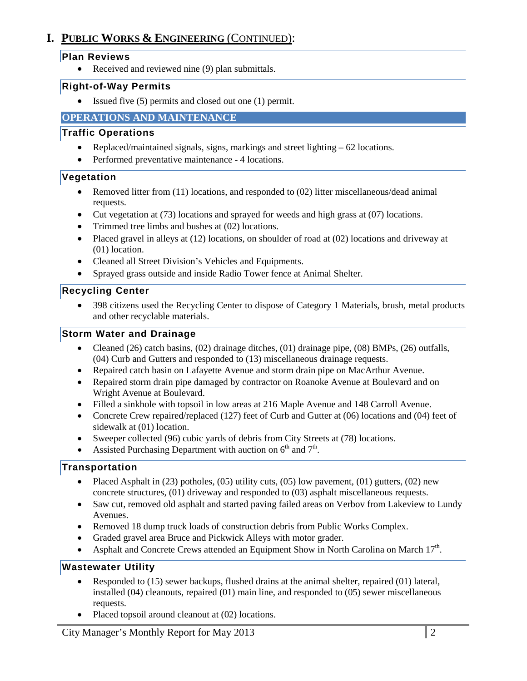# **I. PUBLIC WORKS & ENGINEERING** (CONTINUED):

#### **Plan Reviews**

• Received and reviewed nine (9) plan submittals.

#### **Right-of-Way Permits**

• Issued five (5) permits and closed out one (1) permit.

### **OPERATIONS AND MAINTENANCE**

### **Traffic Operations**

- Replaced/maintained signals, signs, markings and street lighting 62 locations.
- Performed preventative maintenance 4 locations.

# **Vegetation**

- Removed litter from (11) locations, and responded to (02) litter miscellaneous/dead animal requests.
- Cut vegetation at (73) locations and sprayed for weeds and high grass at (07) locations.
- Trimmed tree limbs and bushes at (02) locations.
- Placed gravel in alleys at (12) locations, on shoulder of road at (02) locations and driveway at (01) location.
- Cleaned all Street Division's Vehicles and Equipments.
- Sprayed grass outside and inside Radio Tower fence at Animal Shelter.

# **Recycling Center**

• 398 citizens used the Recycling Center to dispose of Category 1 Materials, brush, metal products and other recyclable materials.

### **Storm Water and Drainage**

- Cleaned (26) catch basins, (02) drainage ditches, (01) drainage pipe, (08) BMPs, (26) outfalls, (04) Curb and Gutters and responded to (13) miscellaneous drainage requests.
- Repaired catch basin on Lafayette Avenue and storm drain pipe on MacArthur Avenue.
- Repaired storm drain pipe damaged by contractor on Roanoke Avenue at Boulevard and on Wright Avenue at Boulevard.
- Filled a sinkhole with topsoil in low areas at 216 Maple Avenue and 148 Carroll Avenue.
- Concrete Crew repaired/replaced (127) feet of Curb and Gutter at (06) locations and (04) feet of sidewalk at (01) location.
- Sweeper collected (96) cubic yards of debris from City Streets at (78) locations.
- Assisted Purchasing Department with auction on  $6<sup>th</sup>$  and  $7<sup>th</sup>$ .

# **Transportation**

- Placed Asphalt in  $(23)$  potholes,  $(05)$  utility cuts,  $(05)$  low pavement,  $(01)$  gutters,  $(02)$  new concrete structures, (01) driveway and responded to (03) asphalt miscellaneous requests.
- Saw cut, removed old asphalt and started paving failed areas on Verbov from Lakeview to Lundy Avenues.
- Removed 18 dump truck loads of construction debris from Public Works Complex.
- Graded gravel area Bruce and Pickwick Alleys with motor grader.
- Asphalt and Concrete Crews attended an Equipment Show in North Carolina on March  $17<sup>th</sup>$ .

#### **Wastewater Utility**

- Responded to (15) sewer backups, flushed drains at the animal shelter, repaired (01) lateral, installed (04) cleanouts, repaired (01) main line, and responded to (05) sewer miscellaneous requests.
- Placed topsoil around cleanout at  $(02)$  locations.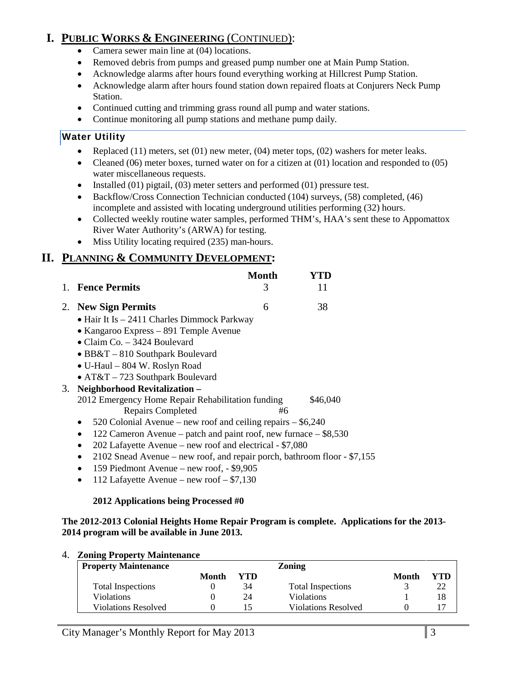# **I. PUBLIC WORKS & ENGINEERING** (CONTINUED):

- Camera sewer main line at (04) locations.
- Removed debris from pumps and greased pump number one at Main Pump Station.
- Acknowledge alarms after hours found everything working at Hillcrest Pump Station.
- Acknowledge alarm after hours found station down repaired floats at Conjurers Neck Pump Station.
- Continued cutting and trimming grass round all pump and water stations.
- Continue monitoring all pump stations and methane pump daily*.*

# **Water Utility**

- Replaced (11) meters, set (01) new meter, (04) meter tops, (02) washers for meter leaks.
- Cleaned (06) meter boxes, turned water on for a citizen at (01) location and responded to (05) water miscellaneous requests.
- Installed (01) pigtail, (03) meter setters and performed (01) pressure test.
- Backflow/Cross Connection Technician conducted (104) surveys, (58) completed, (46) incomplete and assisted with locating underground utilities performing (32) hours.
- Collected weekly routine water samples, performed THM's, HAA's sent these to Appomattox River Water Authority's (ARWA) for testing.
- Miss Utility locating required (235) man-hours.

# **II. PLANNING & COMMUNITY DEVELOPMENT:**

|           | <b>Fence Permits</b>                                             | Month<br>3 | Y'I'I)<br>11 |
|-----------|------------------------------------------------------------------|------------|--------------|
|           | 2. New Sign Permits                                              | 6          | 38           |
|           | $\bullet$ Hair It Is $-$ 2411 Charles Dimmock Parkway            |            |              |
|           | • Kangaroo Express – 891 Temple Avenue                           |            |              |
|           | • Claim Co. $-3424$ Boulevard                                    |            |              |
|           | $\bullet$ BB&T $-$ 810 Southpark Boulevard                       |            |              |
|           | • U-Haul – 804 W. Roslyn Road                                    |            |              |
|           | • $AT&T - 723$ Southpark Boulevard                               |            |              |
|           | 3. Neighborhood Revitalization -                                 |            |              |
|           | 2012 Emergency Home Repair Rehabilitation funding                |            | \$46,040     |
|           | <b>Repairs Completed</b>                                         | #6         |              |
| $\bullet$ | 520 Colonial Avenue – new roof and ceiling repairs $-$ \$6,240   |            |              |
|           | 122 Cameron Avenue – patch and paint roof, new furnace – \$8,530 |            |              |

- 202 Lafayette Avenue new roof and electrical \$7,080
- 2102 Snead Avenue new roof, and repair porch, bathroom floor \$7,155
- 159 Piedmont Avenue new roof, \$9,905
- 112 Lafayette Avenue new roof  $$7,130$

# **2012 Applications being Processed #0**

#### **The 2012-2013 Colonial Heights Home Repair Program is complete. Applications for the 2013- 2014 program will be available in June 2013.**

#### 4. **Zoning Property Maintenance**

| <b>Property Maintenance</b> |       |     | <b>Zoning</b>              |       |     |
|-----------------------------|-------|-----|----------------------------|-------|-----|
|                             | Month | YTD |                            | Month | YTD |
| Total Inspections           |       | 34  | <b>Total Inspections</b>   |       | 22  |
| <b>Violations</b>           |       | 24  | <b>Violations</b>          |       | 18  |
| <b>Violations Resolved</b>  |       | כ ו | <b>Violations Resolved</b> |       |     |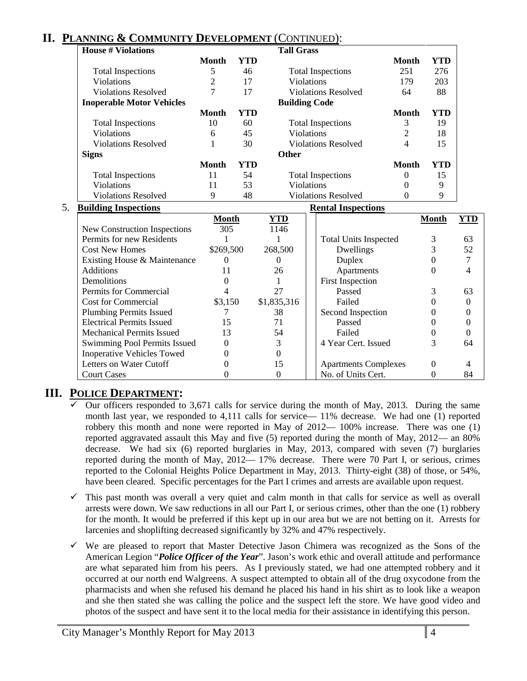# **II. PLANNING & COMMUNITY DEVELOPMENT** (CONTINUED):

Inoperative Vehicles Towed 0 0 0

| <b>House # Violations</b>           |                |            | <b>Tall Grass</b>    |                              |                |              |                |
|-------------------------------------|----------------|------------|----------------------|------------------------------|----------------|--------------|----------------|
|                                     | Month          | <b>YTD</b> |                      |                              | <b>Month</b>   | <b>YTD</b>   |                |
| <b>Total Inspections</b>            | 5              | 46         |                      | <b>Total Inspections</b>     | 251            | 276          |                |
| Violations                          | $\overline{2}$ | 17         | Violations           |                              | 179            | 203          |                |
| <b>Violations Resolved</b>          | $\overline{7}$ | 17         |                      | <b>Violations Resolved</b>   | 64             | 88           |                |
| <b>Inoperable Motor Vehicles</b>    |                |            | <b>Building Code</b> |                              |                |              |                |
|                                     | <b>Month</b>   | <b>YTD</b> |                      |                              | <b>Month</b>   | <b>YTD</b>   |                |
| <b>Total Inspections</b>            | 10             | 60         |                      | <b>Total Inspections</b>     | 3              | 19           |                |
| Violations                          | 6              | 45         | Violations           |                              | $\overline{2}$ | 18           |                |
| <b>Violations Resolved</b>          |                | 30         |                      | <b>Violations Resolved</b>   | 4              | 15           |                |
| <b>Signs</b>                        |                |            | <b>Other</b>         |                              |                |              |                |
|                                     | <b>Month</b>   | <b>YTD</b> |                      |                              | <b>Month</b>   | <b>YTD</b>   |                |
| <b>Total Inspections</b>            | 11             | 54         |                      | <b>Total Inspections</b>     | 0              | 15           |                |
| Violations                          | 11             | 53         | Violations           |                              | 0              | 9            |                |
| <b>Violations Resolved</b>          | 9              | 48         |                      | <b>Violations Resolved</b>   | $\Omega$       | 9            |                |
| <b>Building Inspections</b>         |                |            |                      | <b>Rental Inspections</b>    |                |              |                |
|                                     | <b>Month</b>   |            | <b>YTD</b>           |                              |                | <b>Month</b> | <b>YTD</b>     |
| <b>New Construction Inspections</b> | 305            |            | 1146                 |                              |                |              |                |
| Permits for new Residents           | $\mathbf{1}$   |            | 1                    | <b>Total Units Inspected</b> |                | 3            | 63             |
| <b>Cost New Homes</b>               | \$269,500      |            | 268,500              | Dwellings                    |                | 3            | 52             |
| Existing House & Maintenance        | $\Omega$       |            | $\Omega$             | Duplex                       |                | $\Omega$     | $\overline{7}$ |
| <b>Additions</b>                    | 11             |            | 26                   | Apartments                   |                | $\Omega$     | 4              |
| Demolitions                         | 0              |            | 1                    | <b>First Inspection</b>      |                |              |                |
| Permits for Commercial              | 4              |            | 27                   | Passed                       |                | 3            | 63             |

# **III. POLICE DEPARTMENT:**

 Our officers responded to 3,671 calls for service during the month of May, 2013. During the same month last year, we responded to 4,111 calls for service— 11% decrease. We had one (1) reported robbery this month and none were reported in May of 2012— 100% increase. There was one (1) reported aggravated assault this May and five (5) reported during the month of May, 2012— an 80% decrease. We had six (6) reported burglaries in May, 2013, compared with seven (7) burglaries reported during the month of May, 2012— 17% decrease. There were 70 Part I, or serious, crimes reported to the Colonial Heights Police Department in May, 2013. Thirty-eight (38) of those, or 54%, have been cleared. Specific percentages for the Part I crimes and arrests are available upon request.

Cost for Commercial  $\$3,150 \$1,835,316$  Failed 0 0 Plumbing Permits Issued 7 38 Second Inspection 0 0 Electrical Permits Issued 15 71 Passed 0 0 Mechanical Permits Issued 13 54 Failed 0 0 Swimming Pool Permits Issued 0 3 4 Year Cert. Issued 3 64

Letters on Water Cutoff 0 15 Apartments Complexes 0 4 Court Cases 0 0 0 No. of Units Cert. 0 84

- This past month was overall a very quiet and calm month in that calls for service as well as overall arrests were down. We saw reductions in all our Part I, or serious crimes, other than the one (1) robbery for the month. It would be preferred if this kept up in our area but we are not betting on it. Arrests for larcenies and shoplifting decreased significantly by 32% and 47% respectively.
- $\checkmark$  We are pleased to report that Master Detective Jason Chimera was recognized as the Sons of the American Legion "*Police Officer of the Year*". Jason's work ethic and overall attitude and performance are what separated him from his peers. As I previously stated, we had one attempted robbery and it occurred at our north end Walgreens. A suspect attempted to obtain all of the drug oxycodone from the pharmacists and when she refused his demand he placed his hand in his shirt as to look like a weapon and she then stated she was calling the police and the suspect left the store. We have good video and photos of the suspect and have sent it to the local media for their assistance in identifying this person.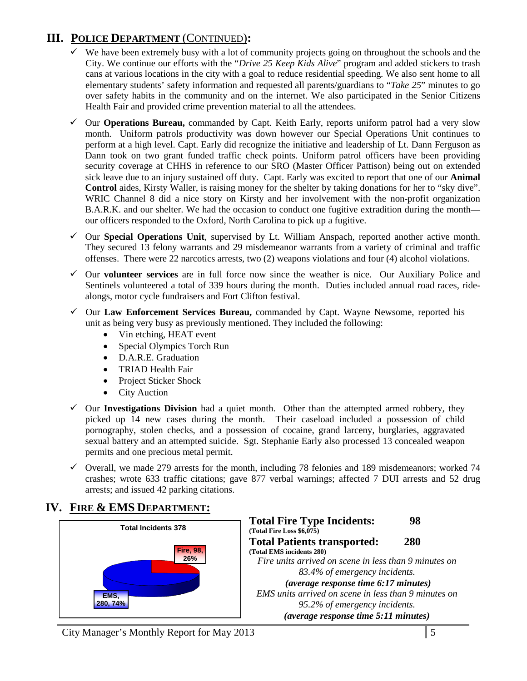# **III. POLICE DEPARTMENT** (CONTINUED)**:**

- $\checkmark$  We have been extremely busy with a lot of community projects going on throughout the schools and the City. We continue our efforts with the "*Drive 25 Keep Kids Alive*" program and added stickers to trash cans at various locations in the city with a goal to reduce residential speeding. We also sent home to all elementary students' safety information and requested all parents/guardians to "*Take 25*" minutes to go over safety habits in the community and on the internet. We also participated in the Senior Citizens Health Fair and provided crime prevention material to all the attendees.
- Our **Operations Bureau,** commanded by Capt. Keith Early, reports uniform patrol had a very slow month. Uniform patrols productivity was down however our Special Operations Unit continues to perform at a high level. Capt. Early did recognize the initiative and leadership of Lt. Dann Ferguson as Dann took on two grant funded traffic check points. Uniform patrol officers have been providing security coverage at CHHS in reference to our SRO (Master Officer Pattison) being out on extended sick leave due to an injury sustained off duty. Capt. Early was excited to report that one of our **Animal Control** aides, Kirsty Waller, is raising money for the shelter by taking donations for her to "sky dive". WRIC Channel 8 did a nice story on Kirsty and her involvement with the non-profit organization B.A.R.K. and our shelter. We had the occasion to conduct one fugitive extradition during the month our officers responded to the Oxford, North Carolina to pick up a fugitive.
- Our **Special Operations Unit**, supervised by Lt. William Anspach, reported another active month. They secured 13 felony warrants and 29 misdemeanor warrants from a variety of criminal and traffic offenses. There were 22 narcotics arrests, two (2) weapons violations and four (4) alcohol violations.
- Our **volunteer services** are in full force now since the weather is nice. Our Auxiliary Police and Sentinels volunteered a total of 339 hours during the month. Duties included annual road races, ridealongs, motor cycle fundraisers and Fort Clifton festival.
- Our **Law Enforcement Services Bureau,** commanded by Capt. Wayne Newsome, reported his unit as being very busy as previously mentioned. They included the following:
	- Vin etching, HEAT event
	- Special Olympics Torch Run
	- D.A.R.E. Graduation
	- TRIAD Health Fair
	- Project Sticker Shock
	- City Auction
- $\checkmark$  Our **Investigations Division** had a quiet month. Other than the attempted armed robbery, they picked up 14 new cases during the month. Their caseload included a possession of child pornography, stolen checks, and a possession of cocaine, grand larceny, burglaries, aggravated sexual battery and an attempted suicide. Sgt. Stephanie Early also processed 13 concealed weapon permits and one precious metal permit.
- $\checkmark$  Overall, we made 279 arrests for the month, including 78 felonies and 189 misdemeanors; worked 74 crashes; wrote 633 traffic citations; gave 877 verbal warnings; affected 7 DUI arrests and 52 drug arrests; and issued 42 parking citations.

# **IV. FIRE & EMS DEPARTMENT:**

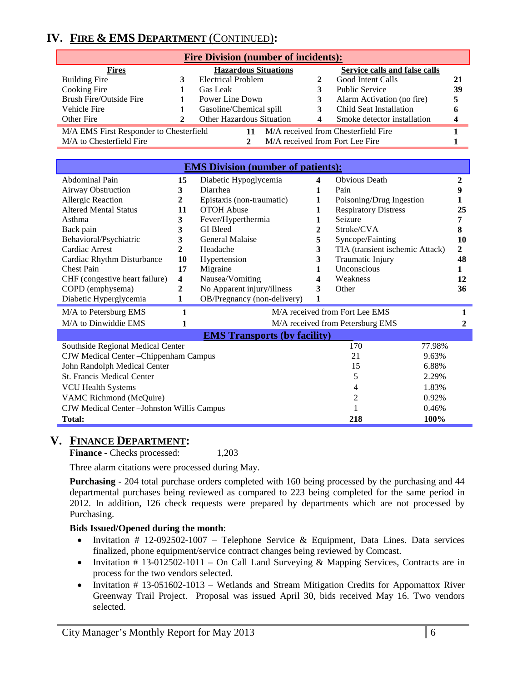# **IV. FIRE & EMS DEPARTMENT** (CONTINUED)**:**

| <b>Fire Division (number of incidents):</b>                                    |  |                           |   |                                 |    |
|--------------------------------------------------------------------------------|--|---------------------------|---|---------------------------------|----|
| Service calls and false calls<br><b>Hazardous Situations</b><br><b>Fires</b>   |  |                           |   |                                 |    |
| Building Fire                                                                  |  | <b>Electrical Problem</b> |   | Good Intent Calls               | 21 |
| Cooking Fire                                                                   |  | Gas Leak                  |   | <b>Public Service</b>           | 39 |
| <b>Brush Fire/Outside Fire</b>                                                 |  | Power Line Down           | 3 | Alarm Activation (no fire)      |    |
| Vehicle Fire                                                                   |  | Gasoline/Chemical spill   | 3 | Child Seat Installation         |    |
| Other Fire                                                                     |  | Other Hazardous Situation | 4 | Smoke detector installation     |    |
| M/A EMS First Responder to Chesterfield<br>M/A received from Chesterfield Fire |  |                           |   |                                 |    |
| M/A to Chesterfield Fire                                                       |  |                           |   | M/A received from Fort Lee Fire |    |

| <b>EMS Division (number of patients):</b>          |                  |                                     |                         |                                  |                |
|----------------------------------------------------|------------------|-------------------------------------|-------------------------|----------------------------------|----------------|
| Abdominal Pain                                     | 15               | Diabetic Hypoglycemia               | $\overline{\mathbf{4}}$ | <b>Obvious Death</b>             | $\overline{2}$ |
| Airway Obstruction                                 | 3                | Diarrhea                            | 1                       | Pain                             | 9              |
| Allergic Reaction                                  | 2                | Epistaxis (non-traumatic)           | 1                       | Poisoning/Drug Ingestion         |                |
| <b>Altered Mental Status</b>                       | 11               | <b>OTOH</b> Abuse                   | 1                       | <b>Respiratory Distress</b>      | 25             |
| Asthma                                             | 3                | Fever/Hyperthermia                  | 1                       | Seizure                          | 7              |
| Back pain                                          | 3                | <b>GI</b> Bleed                     | 2                       | Stroke/CVA                       | 8              |
| Behavioral/Psychiatric                             | 3                | General Malaise                     | 5                       | Syncope/Fainting                 | 10             |
| Cardiac Arrest                                     | $\overline{2}$   | Headache                            | 3                       | TIA (transient ischemic Attack)  | $\overline{2}$ |
| Cardiac Rhythm Disturbance                         | 10               | Hypertension                        | 3                       | Traumatic Injury                 | 48             |
| <b>Chest Pain</b>                                  | 17               | Migraine                            | 1                       | <b>Unconscious</b>               | 1              |
| CHF (congestive heart failure)                     | 4                | Nausea/Vomiting                     | 4                       | Weakness                         | 12             |
| COPD (emphysema)                                   | $\boldsymbol{2}$ | No Apparent injury/illness          | 3                       | Other                            | 36             |
| Diabetic Hyperglycemia                             | 1                | OB/Pregnancy (non-delivery)         | 1                       |                                  |                |
| M/A to Petersburg EMS                              | 1                |                                     |                         | M/A received from Fort Lee EMS   |                |
| M/A to Dinwiddie EMS                               | 1                |                                     |                         | M/A received from Petersburg EMS | 2              |
|                                                    |                  | <b>EMS Transports (by facility)</b> |                         |                                  |                |
| Southside Regional Medical Center                  |                  |                                     |                         | 170<br>77.98%                    |                |
| CJW Medical Center - Chippenham Campus             |                  |                                     |                         | 21<br>9.63%                      |                |
| John Randolph Medical Center                       |                  |                                     |                         | 15<br>6.88%                      |                |
| <b>St. Francis Medical Center</b>                  |                  |                                     |                         | 5<br>2.29%                       |                |
| 1.83%<br><b>VCU Health Systems</b><br>4            |                  |                                     |                         |                                  |                |
| $\overline{c}$<br>VAMC Richmond (McQuire)<br>0.92% |                  |                                     |                         |                                  |                |
| CJW Medical Center - Johnston Willis Campus        |                  |                                     |                         | 0.46%                            |                |
| 218<br>100%<br><b>Total:</b>                       |                  |                                     |                         |                                  |                |

# **V. FINANCE DEPARTMENT:**

**Finance -** Checks processed: 1,203

Three alarm citations were processed during May.

**Purchasing** - 204 total purchase orders completed with 160 being processed by the purchasing and 44 departmental purchases being reviewed as compared to 223 being completed for the same period in 2012. In addition, 126 check requests were prepared by departments which are not processed by Purchasing.

#### **Bids Issued/Opened during the month**:

- Invitation # 12-092502-1007 Telephone Service & Equipment, Data Lines. Data services finalized, phone equipment/service contract changes being reviewed by Comcast.
- Invitation # 13-012502-1011 On Call Land Surveying & Mapping Services, Contracts are in process for the two vendors selected.
- Invitation # 13-051602-1013 Wetlands and Stream Mitigation Credits for Appomattox River Greenway Trail Project. Proposal was issued April 30, bids received May 16. Two vendors selected.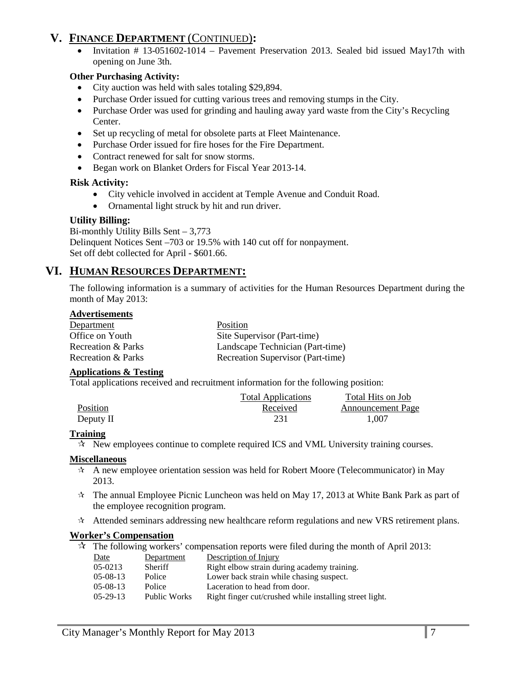# **V. FINANCE DEPARTMENT** (CONTINUED)**:**

• Invitation # 13-051602-1014 – Pavement Preservation 2013. Sealed bid issued May17th with opening on June 3th.

#### **Other Purchasing Activity:**

- City auction was held with sales totaling \$29,894.
- Purchase Order issued for cutting various trees and removing stumps in the City.
- Purchase Order was used for grinding and hauling away yard waste from the City's Recycling Center.
- Set up recycling of metal for obsolete parts at Fleet Maintenance.
- Purchase Order issued for fire hoses for the Fire Department.
- Contract renewed for salt for snow storms.
- Began work on Blanket Orders for Fiscal Year 2013-14.

#### **Risk Activity:**

- City vehicle involved in accident at Temple Avenue and Conduit Road.
- Ornamental light struck by hit and run driver.

#### **Utility Billing:**

Bi-monthly Utility Bills Sent – 3,773 Delinquent Notices Sent –703 or 19.5% with 140 cut off for nonpayment. Set off debt collected for April - \$601.66.

# **VI. HUMAN RESOURCES DEPARTMENT:**

The following information is a summary of activities for the Human Resources Department during the month of May 2013:

#### **Advertisements**

| Department         | Position                          |
|--------------------|-----------------------------------|
| Office on Youth    | Site Supervisor (Part-time)       |
| Recreation & Parks | Landscape Technician (Part-time)  |
| Recreation & Parks | Recreation Supervisor (Part-time) |

#### **Applications & Testing**

Total applications received and recruitment information for the following position:

|           | <b>Total Applications</b> | Total Hits on Job        |
|-----------|---------------------------|--------------------------|
| Position  | Received                  | <b>Announcement Page</b> |
| Deputy II |                           | 1.007                    |

#### **Training**

 $\star$  New employees continue to complete required ICS and VML University training courses.

#### **Miscellaneous**

- $\star$  A new employee orientation session was held for Robert Moore (Telecommunicator) in May 2013.
- $\dot{\mathcal{R}}$  The annual Employee Picnic Luncheon was held on May 17, 2013 at White Bank Park as part of the employee recognition program.
- $\star$  Attended seminars addressing new healthcare reform regulations and new VRS retirement plans.

#### **Worker's Compensation**

 $\mathcal{R}$  The following workers' compensation reports were filed during the month of April 2013:

| Date            | Department     | Description of Injury                                   |
|-----------------|----------------|---------------------------------------------------------|
| 05-0213         | <b>Sheriff</b> | Right elbow strain during academy training.             |
| $05-08-13$      | Police         | Lower back strain while chasing suspect.                |
| $05-08-13$      | Police         | Laceration to head from door.                           |
| $0.5 - 29 - 13$ | Public Works   | Right finger cut/crushed while installing street light. |
|                 |                |                                                         |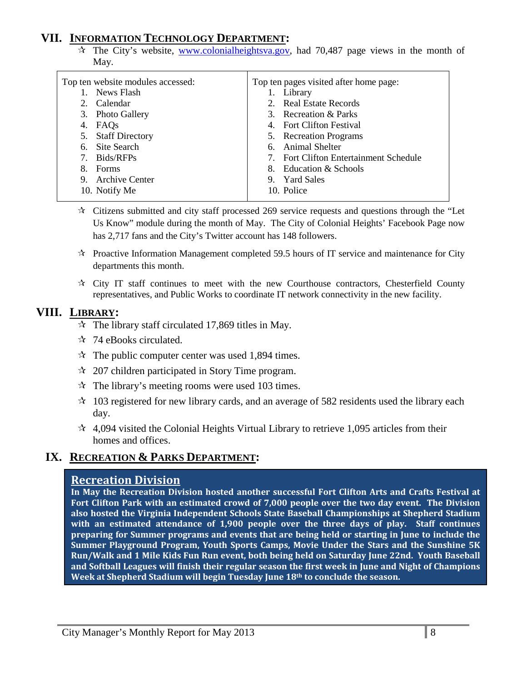# **VII. INFORMATION TECHNOLOGY DEPARTMENT:**

 $\hat{x}$  The City's website, [www.colonialheightsva.gov,](http://www.colonialheightsva.gov/) had 70.487 page views in the month of May.

| Top ten website modules accessed: | Top ten pages visited after home page: |
|-----------------------------------|----------------------------------------|
| News Flash                        | 1. Library                             |
| 2. Calendar                       | 2. Real Estate Records                 |
| 3. Photo Gallery                  | 3. Recreation & Parks                  |
| 4. FAQs                           | 4. Fort Clifton Festival               |
| 5. Staff Directory                | 5. Recreation Programs                 |
| 6. Site Search                    | 6. Animal Shelter                      |
| Bids/RFPs<br>7.                   | 7. Fort Clifton Entertainment Schedule |
| <b>Forms</b><br>8.                | 8. Education & Schools                 |
| 9. Archive Center                 | 9. Yard Sales                          |
| 10. Notify Me                     | 10. Police                             |
|                                   |                                        |

- $\star$  Citizens submitted and city staff processed 269 service requests and questions through the "Let Us Know" module during the month of May. The City of Colonial Heights' Facebook Page now has 2,717 fans and the City's Twitter account has 148 followers.
- $\star$  Proactive Information Management completed 59.5 hours of IT service and maintenance for City departments this month.
- $\star$  City IT staff continues to meet with the new Courthouse contractors, Chesterfield County representatives, and Public Works to coordinate IT network connectivity in the new facility.

# **VIII. LIBRARY:**

- $\approx$  The library staff circulated 17,869 titles in May.
- ☆ 74 eBooks circulated.
- $\approx$  The public computer center was used 1,894 times.
- $\approx$  207 children participated in Story Time program.
- $\approx$  The library's meeting rooms were used 103 times.
- $\approx$  103 registered for new library cards, and an average of 582 residents used the library each day.
- $\star$  4,094 visited the Colonial Heights Virtual Library to retrieve 1,095 articles from their homes and offices.

# **IX. RECREATION & PARKS DEPARTMENT:**

#### **Recreation Division**

**In May the Recreation Division hosted another successful Fort Clifton Arts and Crafts Festival at Fort Clifton Park with an estimated crowd of 7,000 people over the two day event. The Division also hosted the Virginia Independent Schools State Baseball Championships at Shepherd Stadium with an estimated attendance of 1,900 people over the three days of play. Staff continues preparing for Summer programs and events that are being held or starting in June to include the Summer Playground Program, Youth Sports Camps, Movie Under the Stars and the Sunshine 5K Run/Walk and 1 Mile Kids Fun Run event, both being held on Saturday June 22nd. Youth Baseball and Softball Leagues will finish their regular season the first week in June and Night of Champions Week at Shepherd Stadium will begin Tuesday June 18th to conclude the season.**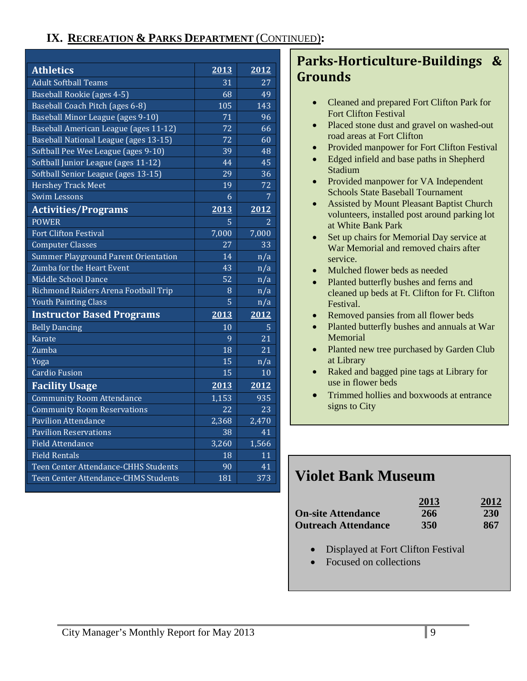# **IX. RECREATION & PARKS DEPARTMENT** (CONTINUED)**:**

| <b>Athletics</b>                            | 2013  | 2012            |
|---------------------------------------------|-------|-----------------|
| <b>Adult Softhall Teams</b>                 | 31    | 27              |
| Baseball Rookie (ages 4-5)                  | 68    | 49              |
| Baseball Coach Pitch (ages 6-8)             | 105   | 143             |
| Baseball Minor League (ages 9-10)           | 71    | 96              |
| Baseball American League (ages 11-12)       | 72    | 66              |
| Baseball National League (ages 13-15)       | 72    | 60              |
| Softball Pee Wee League (ages 9-10)         | 39    | 48              |
| Softball Junior League (ages 11-12)         | 44    | 45              |
| Softball Senior League (ages 13-15)         | 29    | 36              |
| Hershey Track Meet                          | 19    | 72              |
| <b>Swim Lessons</b>                         | 6     | 7               |
| <b>Activities/Programs</b>                  | 2013  | 2012            |
| <b>POWER</b>                                | 5     | 2               |
| <b>Fort Clifton Festival</b>                | 7,000 | 7,000           |
| <b>Computer Classes</b>                     | 27    | 33              |
| <b>Summer Playground Parent Orientation</b> | 14    | n/a             |
| Zumba for the Heart Event                   | 43    | n/a             |
| Middle School Dance                         | 52    | n/a             |
| Richmond Raiders Arena Football Trip        | 8     | n/a             |
| <b>Youth Painting Class</b>                 | 5     | n/a             |
| <b>Instructor Based Programs</b>            | 2013  | 2012            |
| <b>Belly Dancing</b>                        | 10    | 5               |
| <b>Karate</b>                               | 9     | 21              |
| Zumba                                       | 18    | 21              |
| Yoga                                        | 15    | n/a             |
| <b>Cardio Fusion</b>                        | 15    | 10              |
| <b>Facility Usage</b>                       | 2013  | 2012            |
| Community Room Attendance                   | 1,153 | 935             |
| <b>Community Room Reservations</b>          | 22    | $\overline{23}$ |
| <b>Pavilion Attendance</b>                  | 2,368 | 2,470           |
| <b>Pavilion Reservations</b>                | 38    | 41              |
| <b>Field Attendance</b>                     | 3,260 | 1,566           |
| <b>Field Rentals</b>                        | 18    | 11              |
| Teen Center Attendance-CHHS Students        | 90    | 41              |
| Teen Center Attendance-CHMS Students        | 181   | 373             |

# **Parks-Horticulture-Buildings & Grounds**

- Cleaned and prepared Fort Clifton Park for Fort Clifton Festival
- Placed stone dust and gravel on washed-out road areas at Fort Clifton
- Provided manpower for Fort Clifton Festival
- Edged infield and base paths in Shepherd Stadium
- Provided manpower for VA Independent Schools State Baseball Tournament
- Assisted by Mount Pleasant Baptist Church volunteers, installed post around parking lot at White Bank Park
- Set up chairs for Memorial Day service at War Memorial and removed chairs after service.
- Mulched flower beds as needed
- Planted butterfly bushes and ferns and cleaned up beds at Ft. Clifton for Ft. Clifton Festival.
- Removed pansies from all flower beds
- Planted butterfly bushes and annuals at War Memorial
- Planted new tree purchased by Garden Club at Library
- Raked and bagged pine tags at Library for use in flower beds
- Trimmed hollies and boxwoods at entrance signs to City

# **Violet Bank Museum**

| <b>On-site Attendance</b><br><b>Outreach Attendance</b> |                                    | 2013<br>266<br>350 | 2012<br><b>230</b><br>867 |
|---------------------------------------------------------|------------------------------------|--------------------|---------------------------|
|                                                         | Displayed at Fort Clifton Festival |                    |                           |

• Focused on collections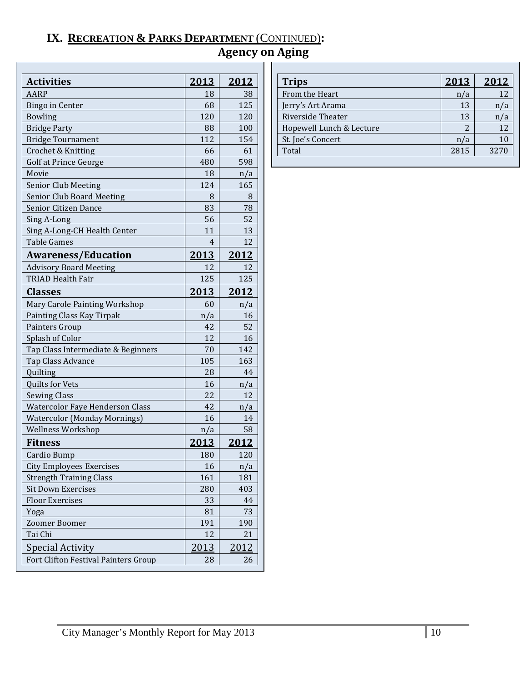# **IX. RECREATION & PARKS DEPARTMENT** (CONTINUED)**:**

# **Agency on Aging**

| <b>Activities</b>                    | <u>2013</u>  | <u>2012</u>   |
|--------------------------------------|--------------|---------------|
| <b>AARP</b>                          | 18           | 38            |
| <b>Bingo in Center</b>               | 68           | 125           |
| <b>Bowling</b>                       | 120          | 120           |
| <b>Bridge Party</b>                  | 88           | 100           |
| <b>Bridge Tournament</b>             | 112          | 154           |
| Crochet & Knitting                   | 66           | 61            |
| Golf at Prince George                | 480          | 598           |
| Movie                                | 18           | n/a           |
| <b>Senior Club Meeting</b>           | 124          | 165           |
| Senior Club Board Meeting            | 8            | 8             |
| Senior Citizen Dance                 | 83           | 78            |
| Sing A-Long                          | 56           | 52            |
| Sing A-Long-CH Health Center         | 11           | 13            |
| <b>Table Games</b>                   | 4            | 12            |
| <b>Awareness/Education</b>           | <u> 2013</u> | 2012          |
| <b>Advisory Board Meeting</b>        | 12           | 12            |
| <b>TRIAD Health Fair</b>             | 125          | 125           |
| <b>Classes</b>                       | 2013         | <u>2012</u>   |
| Mary Carole Painting Workshop        | 60           | n/a           |
| Painting Class Kay Tirpak            | n/a          | 16            |
| Painters Group                       | 42           | 52            |
| Splash of Color                      | 12           | 16            |
| Tap Class Intermediate & Beginners   | 70           | 142           |
| Tap Class Advance                    | 105          | 163           |
| Quilting                             | 28           | 44            |
| Quilts for Vets                      | 16           | n/a           |
| <b>Sewing Class</b>                  | 22           | 12            |
| Watercolor Faye Henderson Class      | 42           | n/a           |
| <b>Watercolor (Monday Mornings)</b>  | 16           | 14            |
| Wellness Workshop                    | n/a          | 58            |
| <b>Fitness</b>                       | <u>2013</u>  | <u> 2012 </u> |
| Cardio Bump                          | 180          | 120           |
| <b>City Employees Exercises</b>      | 16           | n/a           |
| <b>Strength Training Class</b>       | 161          | 181           |
| <b>Sit Down Exercises</b>            | 280          | 403           |
| <b>Floor Exercises</b>               | 33           | 44            |
| Yoga                                 | 81           | 73            |
| Zoomer Boomer                        | 191          | 190           |
| Tai Chi                              | 12           | 21            |
| <b>Special Activity</b>              | 2013         | 2012          |
| Fort Clifton Festival Painters Group | 28           | 26            |

| <b>Trips</b>             | 2013 | 2012 |
|--------------------------|------|------|
| From the Heart           | n/a  | 12   |
| Jerry's Art Arama        | 13   |      |
| Riverside Theater        | 13   |      |
| Hopewell Lunch & Lecture |      | 12   |
| St. Joe's Concert        | 'a   | 10   |
| Total                    | 2815 | 3270 |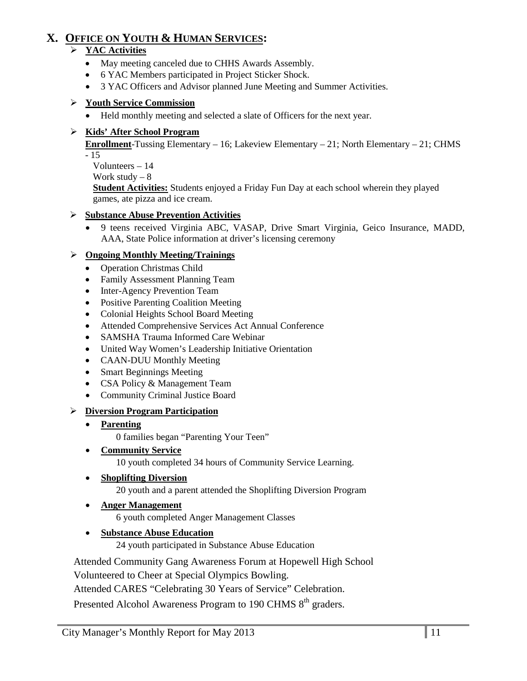# **X. OFFICE ON YOUTH & HUMAN SERVICES:**

### **YAC Activities**

- May meeting canceled due to CHHS Awards Assembly.
- 6 YAC Members participated in Project Sticker Shock.
- 3 YAC Officers and Advisor planned June Meeting and Summer Activities.

### **Youth Service Commission**

• Held monthly meeting and selected a slate of Officers for the next year.

### **Kids' After School Program**

**Enrollment**-Tussing Elementary – 16; Lakeview Elementary – 21; North Elementary – 21; CHMS  $-15$ 

Volunteers – 14

Work study  $-8$ 

**Student Activities:** Students enjoyed a Friday Fun Day at each school wherein they played games, ate pizza and ice cream.

# **Substance Abuse Prevention Activities**

• 9 teens received Virginia ABC, VASAP, Drive Smart Virginia, Geico Insurance, MADD, AAA, State Police information at driver's licensing ceremony

### **Ongoing Monthly Meeting/Trainings**

- Operation Christmas Child
- Family Assessment Planning Team
- Inter-Agency Prevention Team
- Positive Parenting Coalition Meeting
- Colonial Heights School Board Meeting
- Attended Comprehensive Services Act Annual Conference
- SAMSHA Trauma Informed Care Webinar
- United Way Women's Leadership Initiative Orientation
- CAAN-DUU Monthly Meeting
- Smart Beginnings Meeting
- CSA Policy & Management Team
- Community Criminal Justice Board

# **Diversion Program Participation**

• **Parenting**

0 families began "Parenting Your Teen"

• **Community Service**

10 youth completed 34 hours of Community Service Learning.

#### • **Shoplifting Diversion**

20 youth and a parent attended the Shoplifting Diversion Program

#### • **Anger Management**

6 youth completed Anger Management Classes

• **Substance Abuse Education**

24 youth participated in Substance Abuse Education

Attended Community Gang Awareness Forum at Hopewell High School

Volunteered to Cheer at Special Olympics Bowling.

Attended CARES "Celebrating 30 Years of Service" Celebration.

Presented Alcohol Awareness Program to 190 CHMS 8<sup>th</sup> graders.